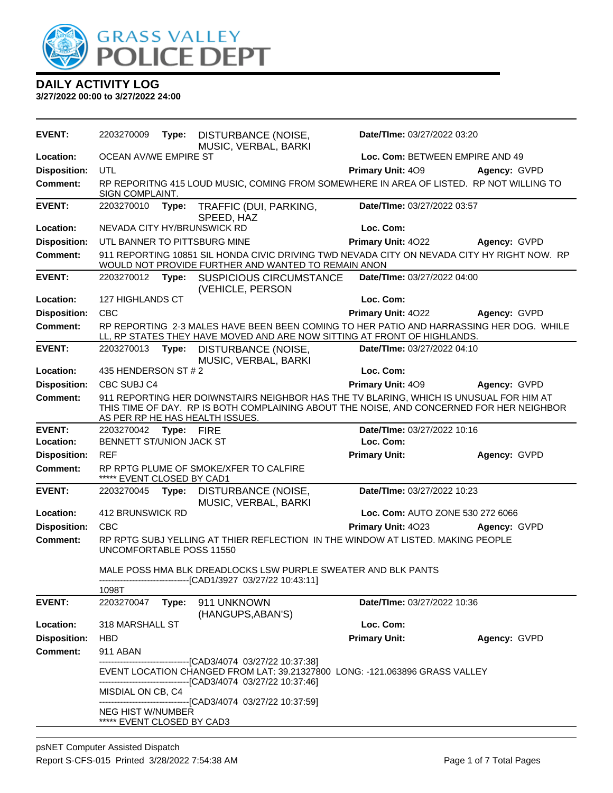

| <b>EVENT:</b>       | 2203270009                                             | Type:      | DISTURBANCE (NOISE,<br>MUSIC, VERBAL, BARKI                                                                                                                                                                           | Date/TIme: 03/27/2022 03:20      |              |
|---------------------|--------------------------------------------------------|------------|-----------------------------------------------------------------------------------------------------------------------------------------------------------------------------------------------------------------------|----------------------------------|--------------|
| Location:           | <b>OCEAN AV/WE EMPIRE ST</b>                           |            |                                                                                                                                                                                                                       | Loc. Com: BETWEEN EMPIRE AND 49  |              |
| <b>Disposition:</b> | UTL                                                    |            |                                                                                                                                                                                                                       | <b>Primary Unit: 409</b>         | Agency: GVPD |
| <b>Comment:</b>     | SIGN COMPLAINT.                                        |            | RP REPORITNG 415 LOUD MUSIC, COMING FROM SOMEWHERE IN AREA OF LISTED. RP NOT WILLING TO                                                                                                                               |                                  |              |
| <b>EVENT:</b>       | 2203270010                                             | Type:      | TRAFFIC (DUI, PARKING,<br>SPEED, HAZ                                                                                                                                                                                  | Date/TIme: 03/27/2022 03:57      |              |
| <b>Location:</b>    | NEVADA CITY HY/BRUNSWICK RD                            |            |                                                                                                                                                                                                                       | Loc. Com:                        |              |
| <b>Disposition:</b> | UTL BANNER TO PITTSBURG MINE                           |            |                                                                                                                                                                                                                       | Primary Unit: 4022               | Agency: GVPD |
| <b>Comment:</b>     |                                                        |            | 911 REPORTING 10851 SIL HONDA CIVIC DRIVING TWD NEVADA CITY ON NEVADA CITY HY RIGHT NOW. RP<br>WOULD NOT PROVIDE FURTHER AND WANTED TO REMAIN ANON                                                                    |                                  |              |
| <b>EVENT:</b>       | 2203270012                                             | Type:      | <b>SUSPICIOUS CIRCUMSTANCE</b><br>(VEHICLE, PERSON                                                                                                                                                                    | Date/TIme: 03/27/2022 04:00      |              |
| Location:           | 127 HIGHLANDS CT                                       |            |                                                                                                                                                                                                                       | Loc. Com:                        |              |
| <b>Disposition:</b> | <b>CBC</b>                                             |            |                                                                                                                                                                                                                       | Primary Unit: 4022               | Agency: GVPD |
| Comment:            |                                                        |            | RP REPORTING 2-3 MALES HAVE BEEN BEEN COMING TO HER PATIO AND HARRASSING HER DOG. WHILE<br>LL, RP STATES THEY HAVE MOVED AND ARE NOW SITTING AT FRONT OF HIGHLANDS.                                                   |                                  |              |
| <b>EVENT:</b>       | 2203270013                                             | Type:      | <b>DISTURBANCE (NOISE,</b><br>MUSIC, VERBAL, BARKI                                                                                                                                                                    | Date/TIme: 03/27/2022 04:10      |              |
| Location:           | 435 HENDERSON ST # 2                                   |            |                                                                                                                                                                                                                       | Loc. Com:                        |              |
| <b>Disposition:</b> | CBC SUBJ C4                                            |            |                                                                                                                                                                                                                       | Primary Unit: 409                | Agency: GVPD |
| <b>Comment:</b>     |                                                        |            | 911 REPORTING HER DOIWNSTAIRS NEIGHBOR HAS THE TV BLARING, WHICH IS UNUSUAL FOR HIM AT<br>THIS TIME OF DAY. RP IS BOTH COMPLAINING ABOUT THE NOISE, AND CONCERNED FOR HER NEIGHBOR<br>AS PER RP HE HAS HEALTH ISSUES. |                                  |              |
| <b>EVENT:</b>       | 2203270042                                             | Type: FIRE |                                                                                                                                                                                                                       | Date/TIme: 03/27/2022 10:16      |              |
| Location:           | BENNETT ST/UNION JACK ST                               |            |                                                                                                                                                                                                                       | Loc. Com:                        |              |
| <b>Disposition:</b> | <b>REF</b>                                             |            |                                                                                                                                                                                                                       | <b>Primary Unit:</b>             | Agency: GVPD |
| <b>Comment:</b>     | ***** EVENT CLOSED BY CAD1                             |            | RP RPTG PLUME OF SMOKE/XFER TO CALFIRE                                                                                                                                                                                |                                  |              |
| <b>EVENT:</b>       | 2203270045                                             | Type:      | DISTURBANCE (NOISE,<br>MUSIC, VERBAL, BARKI                                                                                                                                                                           | Date/TIme: 03/27/2022 10:23      |              |
| Location:           | 412 BRUNSWICK RD                                       |            |                                                                                                                                                                                                                       | Loc. Com: AUTO ZONE 530 272 6066 |              |
| <b>Disposition:</b> | <b>CBC</b>                                             |            |                                                                                                                                                                                                                       | Primary Unit: 4023               | Agency: GVPD |
| Comment:            | <b>UNCOMFORTABLE POSS 11550</b>                        |            | RP RPTG SUBJ YELLING AT THIER REFLECTION IN THE WINDOW AT LISTED. MAKING PEOPLE                                                                                                                                       |                                  |              |
|                     |                                                        |            | MALE POSS HMA BLK DREADLOCKS LSW PURPLE SWEATER AND BLK PANTS<br>-------------------------------[CAD1/3927 03/27/22 10:43:11]                                                                                         |                                  |              |
|                     | 1098T                                                  |            |                                                                                                                                                                                                                       |                                  |              |
| <b>EVENT:</b>       | 2203270047                                             | Type:      | 911 UNKNOWN<br>(HANGUPS, ABAN'S)                                                                                                                                                                                      | Date/TIme: 03/27/2022 10:36      |              |
| Location:           | 318 MARSHALL ST                                        |            |                                                                                                                                                                                                                       | Loc. Com:                        |              |
| <b>Disposition:</b> | <b>HBD</b>                                             |            |                                                                                                                                                                                                                       | <b>Primary Unit:</b>             | Agency: GVPD |
| <b>Comment:</b>     | 911 ABAN                                               |            |                                                                                                                                                                                                                       |                                  |              |
|                     |                                                        |            | ------------------------[CAD3/4074_03/27/22 10:37:38]<br>EVENT LOCATION CHANGED FROM LAT: 39.21327800 LONG: -121.063896 GRASS VALLEY                                                                                  |                                  |              |
|                     | MISDIAL ON CB, C4                                      |            | -------------------------------[CAD3/4074_03/27/22 10:37:46]<br>-------------------------------[CAD3/4074 03/27/22 10:37:59]                                                                                          |                                  |              |
|                     | <b>NEG HIST W/NUMBER</b><br>***** EVENT CLOSED BY CAD3 |            |                                                                                                                                                                                                                       |                                  |              |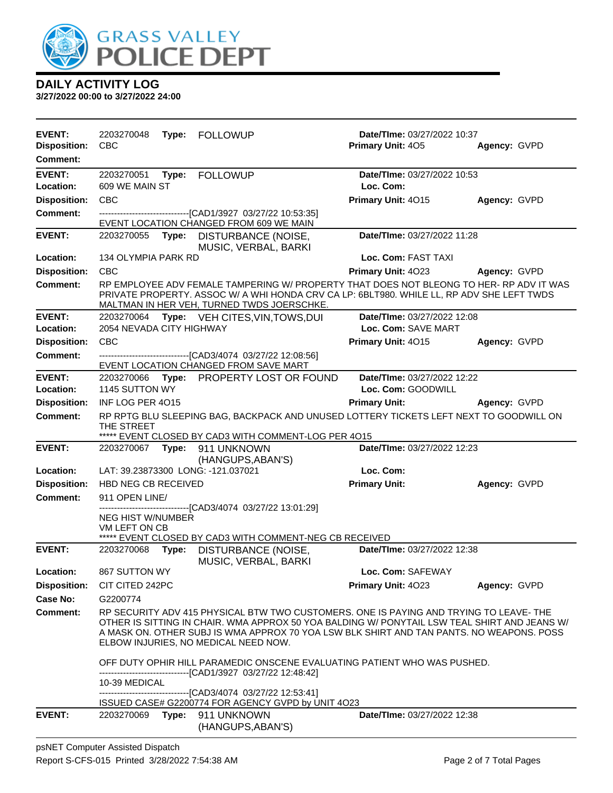

| <b>EVENT:</b><br><b>Disposition:</b> | 2203270048<br><b>CBC</b>                  | Type: FOLLOWUP                                                                                                                                                                                                                                                                                                            | Date/TIme: 03/27/2022 10:37<br><b>Primary Unit: 405</b> | Agency: GVPD |
|--------------------------------------|-------------------------------------------|---------------------------------------------------------------------------------------------------------------------------------------------------------------------------------------------------------------------------------------------------------------------------------------------------------------------------|---------------------------------------------------------|--------------|
| Comment:                             |                                           |                                                                                                                                                                                                                                                                                                                           |                                                         |              |
| <b>EVENT:</b><br>Location:           | 2203270051<br>609 WE MAIN ST              | Type: FOLLOWUP                                                                                                                                                                                                                                                                                                            | Date/TIme: 03/27/2022 10:53<br>Loc. Com:                |              |
| <b>Disposition:</b>                  | <b>CBC</b>                                |                                                                                                                                                                                                                                                                                                                           | Primary Unit: 4015                                      | Agency: GVPD |
| <b>Comment:</b>                      |                                           | -------------------------------[CAD1/3927 03/27/22 10:53:35]                                                                                                                                                                                                                                                              |                                                         |              |
|                                      |                                           | EVENT LOCATION CHANGED FROM 609 WE MAIN                                                                                                                                                                                                                                                                                   |                                                         |              |
| <b>EVENT:</b>                        |                                           | 2203270055 Type: DISTURBANCE (NOISE,<br>MUSIC, VERBAL, BARKI                                                                                                                                                                                                                                                              | Date/TIme: 03/27/2022 11:28                             |              |
| Location:                            | 134 OLYMPIA PARK RD                       |                                                                                                                                                                                                                                                                                                                           | Loc. Com: FAST TAXI                                     |              |
| <b>Disposition:</b>                  | <b>CBC</b>                                |                                                                                                                                                                                                                                                                                                                           | <b>Primary Unit: 4023</b>                               | Agency: GVPD |
| <b>Comment:</b>                      |                                           | RP EMPLOYEE ADV FEMALE TAMPERING W/ PROPERTY THAT DOES NOT BLEONG TO HER- RP ADV IT WAS<br>PRIVATE PROPERTY. ASSOC W/ A WHI HONDA CRV CA LP: 6BLT980. WHILE LL, RP ADV SHE LEFT TWDS<br>MALTMAN IN HER VEH, TURNED TWDS JOERSCHKE.                                                                                        |                                                         |              |
| <b>EVENT:</b>                        |                                           | 2203270064 Type: VEH CITES, VIN, TOWS, DUI                                                                                                                                                                                                                                                                                | Date/TIme: 03/27/2022 12:08                             |              |
| Location:                            | 2054 NEVADA CITY HIGHWAY                  |                                                                                                                                                                                                                                                                                                                           | Loc. Com: SAVE MART                                     |              |
| <b>Disposition:</b>                  | CBC                                       |                                                                                                                                                                                                                                                                                                                           | Primary Unit: 4015                                      | Agency: GVPD |
| <b>Comment:</b>                      |                                           | --------------------------------[CAD3/4074 03/27/22 12:08:56]                                                                                                                                                                                                                                                             |                                                         |              |
|                                      |                                           | EVENT LOCATION CHANGED FROM SAVE MART                                                                                                                                                                                                                                                                                     |                                                         |              |
| <b>EVENT:</b><br>Location:           | 2203270066<br>1145 SUTTON WY              | Type: PROPERTY LOST OR FOUND                                                                                                                                                                                                                                                                                              | Date/TIme: 03/27/2022 12:22<br>Loc. Com: GOODWILL       |              |
| <b>Disposition:</b>                  | INF LOG PER 4015                          |                                                                                                                                                                                                                                                                                                                           | <b>Primary Unit:</b>                                    | Agency: GVPD |
| <b>Comment:</b>                      |                                           | RP RPTG BLU SLEEPING BAG, BACKPACK AND UNUSED LOTTERY TICKETS LEFT NEXT TO GOODWILL ON                                                                                                                                                                                                                                    |                                                         |              |
|                                      | THE STREET                                | ***** EVENT CLOSED BY CAD3 WITH COMMENT-LOG PER 4015                                                                                                                                                                                                                                                                      |                                                         |              |
| <b>EVENT:</b>                        |                                           | 2203270067    Type: 911    UNKNOWN<br>(HANGUPS, ABAN'S)                                                                                                                                                                                                                                                                   | Date/TIme: 03/27/2022 12:23                             |              |
| Location:                            |                                           | LAT: 39.23873300 LONG: -121.037021                                                                                                                                                                                                                                                                                        | Loc. Com:                                               |              |
| <b>Disposition:</b>                  | HBD NEG CB RECEIVED                       |                                                                                                                                                                                                                                                                                                                           | <b>Primary Unit:</b>                                    | Agency: GVPD |
| <b>Comment:</b>                      | 911 OPEN LINE/                            |                                                                                                                                                                                                                                                                                                                           |                                                         |              |
|                                      | <b>NEG HIST W/NUMBER</b><br>VM LEFT ON CB | ------------------------------[CAD3/4074_03/27/22 13:01:29]<br>***** EVENT CLOSED BY CAD3 WITH COMMENT-NEG CB RECEIVED                                                                                                                                                                                                    |                                                         |              |
| <b>EVENT:</b>                        | 2203270068 Type:                          | DISTURBANCE (NOISE,<br>MUSIC, VERBAL, BARKI                                                                                                                                                                                                                                                                               | Date/TIme: 03/27/2022 12:38                             |              |
| Location:                            | 867 SUTTON WY                             |                                                                                                                                                                                                                                                                                                                           | Loc. Com: SAFEWAY                                       |              |
| <b>Disposition:</b>                  | CIT CITED 242PC                           |                                                                                                                                                                                                                                                                                                                           | <b>Primary Unit: 4023</b>                               | Agency: GVPD |
| <b>Case No:</b>                      | G2200774                                  |                                                                                                                                                                                                                                                                                                                           |                                                         |              |
| <b>Comment:</b>                      |                                           | RP SECURITY ADV 415 PHYSICAL BTW TWO CUSTOMERS. ONE IS PAYING AND TRYING TO LEAVE-THE<br>OTHER IS SITTING IN CHAIR. WMA APPROX 50 YOA BALDING W/ PONYTAIL LSW TEAL SHIRT AND JEANS W/<br>A MASK ON. OTHER SUBJ IS WMA APPROX 70 YOA LSW BLK SHIRT AND TAN PANTS. NO WEAPONS. POSS<br>ELBOW INJURIES, NO MEDICAL NEED NOW. |                                                         |              |
|                                      |                                           | OFF DUTY OPHIR HILL PARAMEDIC ONSCENE EVALUATING PATIENT WHO WAS PUSHED.<br>-------------------------------[CAD1/3927 03/27/22 12:48:42]                                                                                                                                                                                  |                                                         |              |
|                                      | 10-39 MEDICAL                             | -------------------------------[CAD3/4074_03/27/22 12:53:41]                                                                                                                                                                                                                                                              |                                                         |              |
|                                      |                                           | ISSUED CASE# G2200774 FOR AGENCY GVPD by UNIT 4O23                                                                                                                                                                                                                                                                        |                                                         |              |
| <b>EVENT:</b>                        | 2203270069                                | Type: 911 UNKNOWN<br>(HANGUPS, ABAN'S)                                                                                                                                                                                                                                                                                    | Date/TIme: 03/27/2022 12:38                             |              |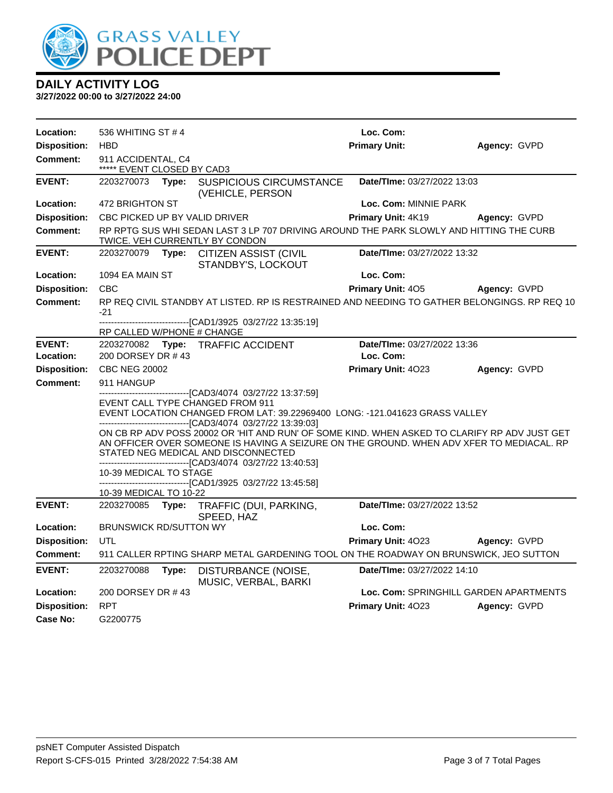

| Location:                  | 536 WHITING ST #4                                                                                                         |       |                                                                                                                                                                                                                                                                                                                                                                                                                                                                                                                                                | Loc. Com:                                |              |
|----------------------------|---------------------------------------------------------------------------------------------------------------------------|-------|------------------------------------------------------------------------------------------------------------------------------------------------------------------------------------------------------------------------------------------------------------------------------------------------------------------------------------------------------------------------------------------------------------------------------------------------------------------------------------------------------------------------------------------------|------------------------------------------|--------------|
| <b>Disposition:</b>        | <b>HBD</b>                                                                                                                |       |                                                                                                                                                                                                                                                                                                                                                                                                                                                                                                                                                | <b>Primary Unit:</b>                     | Agency: GVPD |
| Comment:                   | 911 ACCIDENTAL, C4<br>***** EVENT CLOSED BY CAD3                                                                          |       |                                                                                                                                                                                                                                                                                                                                                                                                                                                                                                                                                |                                          |              |
| <b>EVENT:</b>              | 2203270073 Type:                                                                                                          |       | <b>SUSPICIOUS CIRCUMSTANCE</b><br>(VEHICLE, PERSON                                                                                                                                                                                                                                                                                                                                                                                                                                                                                             | Date/TIme: 03/27/2022 13:03              |              |
| Location:                  | 472 BRIGHTON ST                                                                                                           |       |                                                                                                                                                                                                                                                                                                                                                                                                                                                                                                                                                | Loc. Com: MINNIE PARK                    |              |
| <b>Disposition:</b>        | CBC PICKED UP BY VALID DRIVER                                                                                             |       |                                                                                                                                                                                                                                                                                                                                                                                                                                                                                                                                                | Primary Unit: 4K19                       | Agency: GVPD |
| <b>Comment:</b>            | RP RPTG SUS WHI SEDAN LAST 3 LP 707 DRIVING AROUND THE PARK SLOWLY AND HITTING THE CURB<br>TWICE. VEH CURRENTLY BY CONDON |       |                                                                                                                                                                                                                                                                                                                                                                                                                                                                                                                                                |                                          |              |
| <b>EVENT:</b>              | 2203270079 Type:                                                                                                          |       | CITIZEN ASSIST (CIVIL<br>STANDBY'S, LOCKOUT                                                                                                                                                                                                                                                                                                                                                                                                                                                                                                    | Date/TIme: 03/27/2022 13:32              |              |
| Location:                  | 1094 EA MAIN ST                                                                                                           |       |                                                                                                                                                                                                                                                                                                                                                                                                                                                                                                                                                | Loc. Com:                                |              |
| <b>Disposition:</b>        | <b>CBC</b>                                                                                                                |       |                                                                                                                                                                                                                                                                                                                                                                                                                                                                                                                                                | <b>Primary Unit: 405</b>                 | Agency: GVPD |
| <b>Comment:</b>            | $-21$                                                                                                                     |       | RP REQ CIVIL STANDBY AT LISTED. RP IS RESTRAINED AND NEEDING TO GATHER BELONGINGS. RP REQ 10                                                                                                                                                                                                                                                                                                                                                                                                                                                   |                                          |              |
|                            | RP CALLED W/PHONE # CHANGE                                                                                                |       | -------------------------------[CAD1/3925 03/27/22 13:35:19]                                                                                                                                                                                                                                                                                                                                                                                                                                                                                   |                                          |              |
| <b>EVENT:</b><br>Location: | 200 DORSEY DR #43                                                                                                         |       | 2203270082 Type: TRAFFIC ACCIDENT                                                                                                                                                                                                                                                                                                                                                                                                                                                                                                              | Date/TIme: 03/27/2022 13:36<br>Loc. Com: |              |
| <b>Disposition:</b>        | <b>CBC NEG 20002</b>                                                                                                      |       |                                                                                                                                                                                                                                                                                                                                                                                                                                                                                                                                                | Primary Unit: 4023                       | Agency: GVPD |
| Comment:                   | 911 HANGUP                                                                                                                |       |                                                                                                                                                                                                                                                                                                                                                                                                                                                                                                                                                |                                          |              |
|                            | 10-39 MEDICAL TO STAGE                                                                                                    |       | ------------------------[CAD3/4074_03/27/22 13:37:59]<br>EVENT CALL TYPE CHANGED FROM 911<br>EVENT LOCATION CHANGED FROM LAT: 39.22969400 LONG: -121.041623 GRASS VALLEY<br>----------------------------------[CAD3/4074 03/27/22 13:39:03]<br>ON CB RP ADV POSS 20002 OR 'HIT AND RUN' OF SOME KIND. WHEN ASKED TO CLARIFY RP ADV JUST GET<br>AN OFFICER OVER SOMEONE IS HAVING A SEIZURE ON THE GROUND. WHEN ADV XFER TO MEDIACAL. RP<br>STATED NEG MEDICAL AND DISCONNECTED<br>-------------------------------[CAD3/4074_03/27/22_13:40:53] |                                          |              |
|                            |                                                                                                                           |       | ---------------------------------[CAD1/3925_03/27/22_13:45:58]                                                                                                                                                                                                                                                                                                                                                                                                                                                                                 |                                          |              |
|                            | 10-39 MEDICAL TO 10-22                                                                                                    |       |                                                                                                                                                                                                                                                                                                                                                                                                                                                                                                                                                |                                          |              |
| <b>EVENT:</b>              | 2203270085                                                                                                                | Type: | TRAFFIC (DUI, PARKING,<br>SPEED, HAZ                                                                                                                                                                                                                                                                                                                                                                                                                                                                                                           | Date/TIme: 03/27/2022 13:52              |              |
| Location:                  | <b>BRUNSWICK RD/SUTTON WY</b>                                                                                             |       |                                                                                                                                                                                                                                                                                                                                                                                                                                                                                                                                                | Loc. Com:                                |              |
| <b>Disposition:</b>        | UTL                                                                                                                       |       |                                                                                                                                                                                                                                                                                                                                                                                                                                                                                                                                                | Primary Unit: 4023                       | Agency: GVPD |
| <b>Comment:</b>            |                                                                                                                           |       | 911 CALLER RPTING SHARP METAL GARDENING TOOL ON THE ROADWAY ON BRUNSWICK, JEO SUTTON                                                                                                                                                                                                                                                                                                                                                                                                                                                           |                                          |              |
| <b>EVENT:</b>              | 2203270088                                                                                                                | Type: | DISTURBANCE (NOISE,<br>MUSIC, VERBAL, BARKI                                                                                                                                                                                                                                                                                                                                                                                                                                                                                                    | Date/TIme: 03/27/2022 14:10              |              |
| Location:                  | 200 DORSEY DR #43                                                                                                         |       |                                                                                                                                                                                                                                                                                                                                                                                                                                                                                                                                                | Loc. Com: SPRINGHILL GARDEN APARTMENTS   |              |
| <b>Disposition:</b>        | <b>RPT</b>                                                                                                                |       |                                                                                                                                                                                                                                                                                                                                                                                                                                                                                                                                                | Primary Unit: 4023                       | Agency: GVPD |
| Case No:                   | G2200775                                                                                                                  |       |                                                                                                                                                                                                                                                                                                                                                                                                                                                                                                                                                |                                          |              |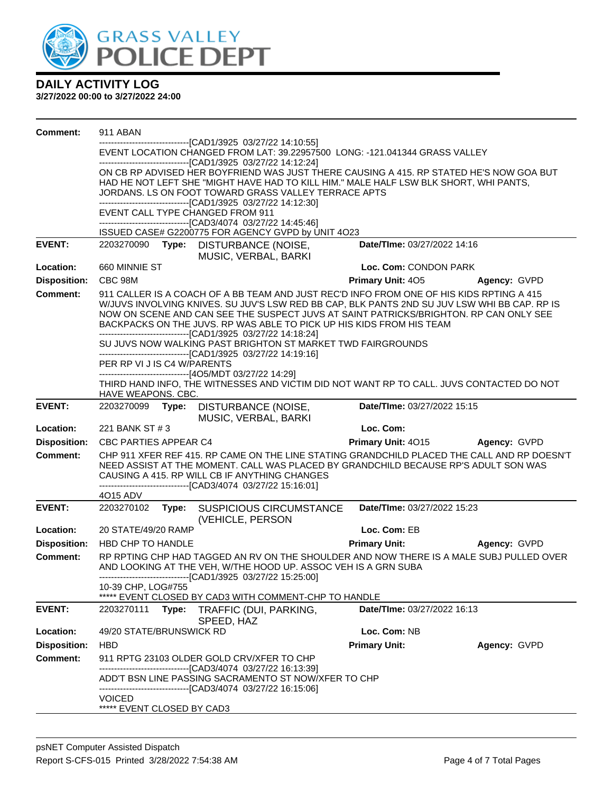

| <b>Comment:</b>     | 911 ABAN                                                                                                                                                                                 |                             |              |  |  |  |  |
|---------------------|------------------------------------------------------------------------------------------------------------------------------------------------------------------------------------------|-----------------------------|--------------|--|--|--|--|
|                     | ----------------------[CAD1/3925_03/27/22 14:10:55]                                                                                                                                      |                             |              |  |  |  |  |
|                     | EVENT LOCATION CHANGED FROM LAT: 39.22957500 LONG: -121.041344 GRASS VALLEY<br>-------------------------------[CAD1/3925 03/27/22 14:12:24]                                              |                             |              |  |  |  |  |
|                     | ON CB RP ADVISED HER BOYFRIEND WAS JUST THERE CAUSING A 415. RP STATED HE'S NOW GOA BUT                                                                                                  |                             |              |  |  |  |  |
|                     | HAD HE NOT LEFT SHE "MIGHT HAVE HAD TO KILL HIM." MALE HALF LSW BLK SHORT, WHI PANTS,                                                                                                    |                             |              |  |  |  |  |
|                     | JORDANS. LS ON FOOT TOWARD GRASS VALLEY TERRACE APTS                                                                                                                                     |                             |              |  |  |  |  |
|                     | -------------------------------[CAD1/3925 03/27/22 14:12:30]<br>EVENT CALL TYPE CHANGED FROM 911                                                                                         |                             |              |  |  |  |  |
|                     | ------------------------------[CAD3/4074 03/27/22 14:45:46]                                                                                                                              |                             |              |  |  |  |  |
|                     | ISSUED CASE# G2200775 FOR AGENCY GVPD by UNIT 4O23                                                                                                                                       |                             |              |  |  |  |  |
| <b>EVENT:</b>       | 2203270090 Type: DISTURBANCE (NOISE,                                                                                                                                                     | Date/TIme: 03/27/2022 14:16 |              |  |  |  |  |
|                     | MUSIC, VERBAL, BARKI                                                                                                                                                                     |                             |              |  |  |  |  |
| Location:           | 660 MINNIE ST                                                                                                                                                                            | Loc. Com: CONDON PARK       |              |  |  |  |  |
| <b>Disposition:</b> | CBC 98M                                                                                                                                                                                  | <b>Primary Unit: 405</b>    | Agency: GVPD |  |  |  |  |
| <b>Comment:</b>     | 911 CALLER IS A COACH OF A BB TEAM AND JUST REC'D INFO FROM ONE OF HIS KIDS RPTING A 415<br>W/JUVS INVOLVING KNIVES. SU JUV'S LSW RED BB CAP, BLK PANTS 2ND SU JUV LSW WHI BB CAP. RP IS |                             |              |  |  |  |  |
|                     | NOW ON SCENE AND CAN SEE THE SUSPECT JUVS AT SAINT PATRICKS/BRIGHTON. RP CAN ONLY SEE                                                                                                    |                             |              |  |  |  |  |
|                     | BACKPACKS ON THE JUVS. RP WAS ABLE TO PICK UP HIS KIDS FROM HIS TEAM                                                                                                                     |                             |              |  |  |  |  |
|                     | --------------------------------[CAD1/3925 03/27/22 14:18:24]<br>SU JUVS NOW WALKING PAST BRIGHTON ST MARKET TWD FAIRGROUNDS                                                             |                             |              |  |  |  |  |
|                     | -------------------------------[CAD1/3925 03/27/22 14:19:16]                                                                                                                             |                             |              |  |  |  |  |
|                     | PER RP VI J IS C4 W/PARENTS                                                                                                                                                              |                             |              |  |  |  |  |
|                     | -------------------------------[4O5/MDT 03/27/22 14:29]<br>THIRD HAND INFO, THE WITNESSES AND VICTIM DID NOT WANT RP TO CALL. JUVS CONTACTED DO NOT                                      |                             |              |  |  |  |  |
|                     | HAVE WEAPONS. CBC.                                                                                                                                                                       |                             |              |  |  |  |  |
| <b>EVENT:</b>       | 2203270099<br>DISTURBANCE (NOISE,<br>Type:                                                                                                                                               | Date/TIme: 03/27/2022 15:15 |              |  |  |  |  |
|                     | MUSIC, VERBAL, BARKI                                                                                                                                                                     |                             |              |  |  |  |  |
|                     |                                                                                                                                                                                          |                             |              |  |  |  |  |
| Location:           | 221 BANK ST # 3                                                                                                                                                                          | Loc. Com:                   |              |  |  |  |  |
| <b>Disposition:</b> | CBC PARTIES APPEAR C4                                                                                                                                                                    | <b>Primary Unit: 4015</b>   | Agency: GVPD |  |  |  |  |
| <b>Comment:</b>     | CHP 911 XFER REF 415. RP CAME ON THE LINE STATING GRANDCHILD PLACED THE CALL AND RP DOESN'T                                                                                              |                             |              |  |  |  |  |
|                     | NEED ASSIST AT THE MOMENT. CALL WAS PLACED BY GRANDCHILD BECAUSE RP'S ADULT SON WAS<br>CAUSING A 415. RP WILL CB IF ANYTHING CHANGES                                                     |                             |              |  |  |  |  |
|                     | -------------------------------[CAD3/4074 03/27/22 15:16:01]                                                                                                                             |                             |              |  |  |  |  |
|                     | 4O15 ADV                                                                                                                                                                                 |                             |              |  |  |  |  |
| <b>EVENT:</b>       | 2203270102<br>Type: SUSPICIOUS CIRCUMSTANCE                                                                                                                                              | Date/TIme: 03/27/2022 15:23 |              |  |  |  |  |
| Location:           | (VEHICLE, PERSON<br>20 STATE/49/20 RAMP                                                                                                                                                  | Loc. Com: EB                |              |  |  |  |  |
| <b>Disposition:</b> | HBD CHP TO HANDLE                                                                                                                                                                        | <b>Primary Unit:</b>        | Agency: GVPD |  |  |  |  |
| <b>Comment:</b>     | RP RPTING CHP HAD TAGGED AN RV ON THE SHOULDER AND NOW THERE IS A MALE SUBJ PULLED OVER                                                                                                  |                             |              |  |  |  |  |
|                     | AND LOOKING AT THE VEH, W/THE HOOD UP. ASSOC VEH IS A GRN SUBA                                                                                                                           |                             |              |  |  |  |  |
|                     | ---------------------------[CAD1/3925 03/27/22 15:25:00]                                                                                                                                 |                             |              |  |  |  |  |
|                     | 10-39 CHP, LOG#755<br>***** EVENT CLOSED BY CAD3 WITH COMMENT-CHP TO HANDLE                                                                                                              |                             |              |  |  |  |  |
| <b>EVENT:</b>       | Type: TRAFFIC (DUI, PARKING,<br>2203270111                                                                                                                                               | Date/TIme: 03/27/2022 16:13 |              |  |  |  |  |
|                     | SPEED, HAZ                                                                                                                                                                               |                             |              |  |  |  |  |
| Location:           | 49/20 STATE/BRUNSWICK RD                                                                                                                                                                 | Loc. Com: NB                |              |  |  |  |  |
| <b>Disposition:</b> | <b>HBD</b>                                                                                                                                                                               | <b>Primary Unit:</b>        | Agency: GVPD |  |  |  |  |
| <b>Comment:</b>     | 911 RPTG 23103 OLDER GOLD CRV/XFER TO CHP                                                                                                                                                |                             |              |  |  |  |  |
|                     | --------------------------[CAD3/4074_03/27/22 16:13:39]<br>ADD'T BSN LINE PASSING SACRAMENTO ST NOW/XFER TO CHP                                                                          |                             |              |  |  |  |  |
|                     | --------------------------------[CAD3/4074 03/27/22 16:15:06]                                                                                                                            |                             |              |  |  |  |  |
|                     | <b>VOICED</b><br>***** EVENT CLOSED BY CAD3                                                                                                                                              |                             |              |  |  |  |  |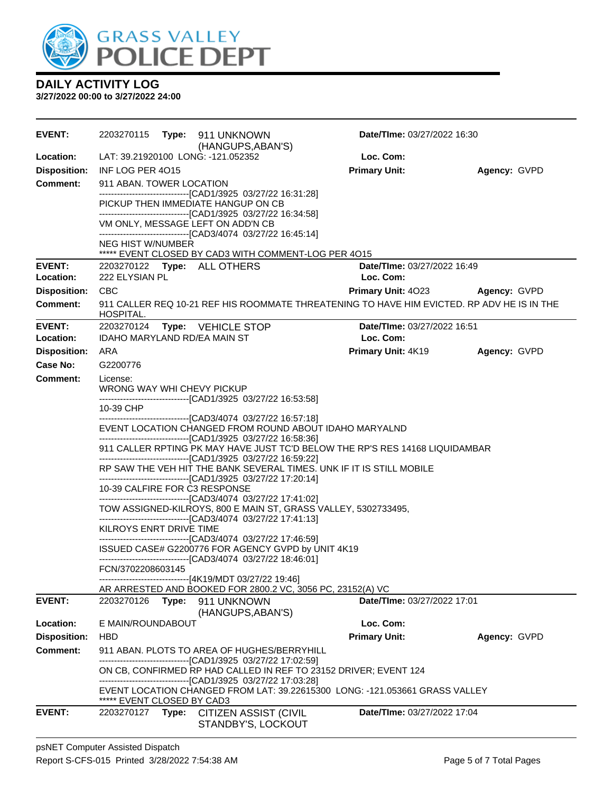

| <b>EVENT:</b>                   |                                                         |  | (HANGUPS, ABAN'S)                                                                                                                                                                  | <b>Date/Time: 03/27/2022 16:30</b> |              |
|---------------------------------|---------------------------------------------------------|--|------------------------------------------------------------------------------------------------------------------------------------------------------------------------------------|------------------------------------|--------------|
| Location:                       |                                                         |  | LAT: 39.21920100 LONG: -121.052352                                                                                                                                                 | Loc. Com:                          |              |
| <b>Disposition:</b>             | INF LOG PER 4015                                        |  |                                                                                                                                                                                    | <b>Primary Unit:</b>               | Agency: GVPD |
| <b>Comment:</b>                 | 911 ABAN. TOWER LOCATION                                |  |                                                                                                                                                                                    |                                    |              |
|                                 |                                                         |  | -------------------------------[CAD1/3925 03/27/22 16:31:28]<br>PICKUP THEN IMMEDIATE HANGUP ON CB                                                                                 |                                    |              |
|                                 |                                                         |  | -------------------------------[CAD1/3925 03/27/22 16:34:58]                                                                                                                       |                                    |              |
|                                 |                                                         |  | VM ONLY, MESSAGE LEFT ON ADD'N CB                                                                                                                                                  |                                    |              |
|                                 | NEG HIST W/NUMBER                                       |  | ---------------------------------[CAD3/4074_03/27/22_16:45:14]                                                                                                                     |                                    |              |
|                                 |                                                         |  | ***** EVENT CLOSED BY CAD3 WITH COMMENT-LOG PER 4015                                                                                                                               |                                    |              |
| <b>EVENT:</b>                   |                                                         |  | 2203270122 Type: ALL OTHERS                                                                                                                                                        | <b>Date/Time: 03/27/2022 16:49</b> |              |
| Location:                       | 222 ELYSIAN PL                                          |  |                                                                                                                                                                                    | Loc. Com:                          |              |
| <b>Disposition:</b>             | <b>CBC</b>                                              |  |                                                                                                                                                                                    | Primary Unit: 4023 Agency: GVPD    |              |
| <b>Comment:</b>                 | HOSPITAL.                                               |  | 911 CALLER REQ 10-21 REF HIS ROOMMATE THREATENING TO HAVE HIM EVICTED. RP ADV HE IS IN THE                                                                                         |                                    |              |
| <b>EVENT:</b>                   | 2203270124                                              |  | <b>Type:</b> VEHICLE STOP                                                                                                                                                          | Date/TIme: 03/27/2022 16:51        |              |
| Location:                       | <b>IDAHO MARYLAND RD/EA MAIN ST</b>                     |  |                                                                                                                                                                                    | Loc. Com:                          |              |
| <b>Disposition:</b><br>Case No: | ARA                                                     |  |                                                                                                                                                                                    | Primary Unit: 4K19                 | Agency: GVPD |
|                                 | G2200776                                                |  |                                                                                                                                                                                    |                                    |              |
| Comment:                        | License:<br>WRONG WAY WHI CHEVY PICKUP                  |  |                                                                                                                                                                                    |                                    |              |
|                                 | 10-39 CHP                                               |  | -------------------------------[CAD1/3925 03/27/22 16:53:58]<br>--------------------------------[CAD3/4074 03/27/22 16:57:18]                                                      |                                    |              |
|                                 |                                                         |  | EVENT LOCATION CHANGED FROM ROUND ABOUT IDAHO MARYALND<br>--------------------------------[CAD1/3925 03/27/22 16:58:36]                                                            |                                    |              |
|                                 |                                                         |  | 911 CALLER RPTING PK MAY HAVE JUST TC'D BELOW THE RP'S RES 14168 LIQUIDAMBAR<br>-------------------------------[CAD1/3925 03/27/22 16:59:22]                                       |                                    |              |
|                                 |                                                         |  | RP SAW THE VEH HIT THE BANK SEVERAL TIMES. UNK IF IT IS STILL MOBILE<br>-------------------------------[CAD1/3925 03/27/22 17:20:14]                                               |                                    |              |
|                                 | 10-39 CALFIRE FOR C3 RESPONSE                           |  | -------------------------------[CAD3/4074 03/27/22 17:41:02]                                                                                                                       |                                    |              |
|                                 |                                                         |  | TOW ASSIGNED-KILROYS, 800 E MAIN ST, GRASS VALLEY, 5302733495,<br>--------------------------------[CAD3/4074 03/27/22 17:41:13]                                                    |                                    |              |
|                                 | KILROYS ENRT DRIVE TIME                                 |  |                                                                                                                                                                                    |                                    |              |
|                                 |                                                         |  | -------------------------------[CAD3/4074_03/27/22 17:46:59]<br>ISSUED CASE# G2200776 FOR AGENCY GVPD by UNIT 4K19<br>-------------------------------[CAD3/4074_03/27/22 18:46:01] |                                    |              |
|                                 | FCN/3702208603145                                       |  |                                                                                                                                                                                    |                                    |              |
|                                 |                                                         |  | ------------------------------[4K19/MDT 03/27/22 19:46]                                                                                                                            |                                    |              |
| <b>EVENT:</b>                   |                                                         |  | AR ARRESTED AND BOOKED FOR 2800.2 VC, 3056 PC, 23152(A) VC                                                                                                                         | Date/TIme: 03/27/2022 17:01        |              |
|                                 | 2203270126    Type: 911    UNKNOWN<br>(HANGUPS, ABAN'S) |  |                                                                                                                                                                                    |                                    |              |
| Location:                       | E MAIN/ROUNDABOUT                                       |  |                                                                                                                                                                                    | Loc. Com:                          |              |
| <b>Disposition:</b>             | <b>HBD</b>                                              |  |                                                                                                                                                                                    | <b>Primary Unit:</b>               | Agency: GVPD |
| <b>Comment:</b>                 |                                                         |  | 911 ABAN. PLOTS TO AREA OF HUGHES/BERRYHILL                                                                                                                                        |                                    |              |
|                                 |                                                         |  | -------------------------------[CAD1/3925 03/27/22 17:02:59]<br>ON CB, CONFIRMED RP HAD CALLED IN REF TO 23152 DRIVER; EVENT 124                                                   |                                    |              |
|                                 | ***** EVENT CLOSED BY CAD3                              |  | -------------------------------[CAD1/3925 03/27/22 17:03:28]<br>EVENT LOCATION CHANGED FROM LAT: 39.22615300 LONG: -121.053661 GRASS VALLEY                                        |                                    |              |
| <b>EVENT:</b>                   | 2203270127 Type:                                        |  | <b>CITIZEN ASSIST (CIVIL</b><br>STANDBY'S, LOCKOUT                                                                                                                                 | Date/TIme: 03/27/2022 17:04        |              |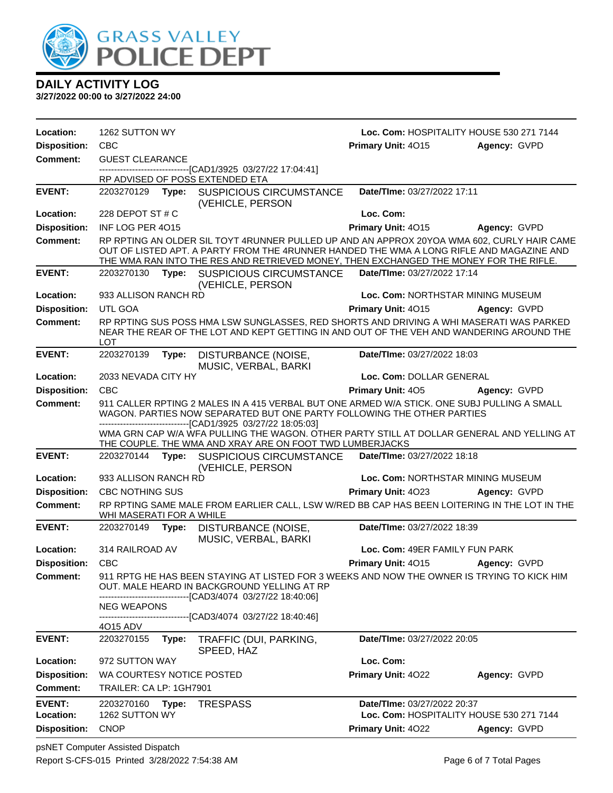

| Location:           | 1262 SUTTON WY            |       | Loc. Com: HOSPITALITY HOUSE 530 271 7144                                                                                                                                                                                                                                        |                                   |                                          |
|---------------------|---------------------------|-------|---------------------------------------------------------------------------------------------------------------------------------------------------------------------------------------------------------------------------------------------------------------------------------|-----------------------------------|------------------------------------------|
| <b>Disposition:</b> | <b>CBC</b>                |       |                                                                                                                                                                                                                                                                                 | Primary Unit: 4015                | Agency: GVPD                             |
| Comment:            | <b>GUEST CLEARANCE</b>    |       |                                                                                                                                                                                                                                                                                 |                                   |                                          |
|                     |                           |       | -------------------------[CAD1/3925 03/27/22 17:04:41]<br>RP ADVISED OF POSS EXTENDED ETA                                                                                                                                                                                       |                                   |                                          |
| <b>EVENT:</b>       | 2203270129 Type:          |       | <b>SUSPICIOUS CIRCUMSTANCE</b><br>(VEHICLE, PERSON                                                                                                                                                                                                                              | Date/TIme: 03/27/2022 17:11       |                                          |
| Location:           | 228 DEPOT ST $#C$         |       |                                                                                                                                                                                                                                                                                 | Loc. Com:                         |                                          |
| <b>Disposition:</b> | INF LOG PER 4015          |       |                                                                                                                                                                                                                                                                                 | Primary Unit: 4015                | Agency: GVPD                             |
| <b>Comment:</b>     |                           |       | RP RPTING AN OLDER SIL TOYT 4RUNNER PULLED UP AND AN APPROX 20YOA WMA 602, CURLY HAIR CAME<br>OUT OF LISTED APT. A PARTY FROM THE 4RUNNER HANDED THE WMA A LONG RIFLE AND MAGAZINE AND<br>THE WMA RAN INTO THE RES AND RETRIEVED MONEY, THEN EXCHANGED THE MONEY FOR THE RIFLE. |                                   |                                          |
| <b>EVENT:</b>       | 2203270130 Type:          |       | <b>SUSPICIOUS CIRCUMSTANCE</b><br>(VEHICLE, PERSON                                                                                                                                                                                                                              | Date/TIme: 03/27/2022 17:14       |                                          |
| Location:           | 933 ALLISON RANCH RD      |       |                                                                                                                                                                                                                                                                                 | Loc. Com: NORTHSTAR MINING MUSEUM |                                          |
| <b>Disposition:</b> | UTL GOA                   |       |                                                                                                                                                                                                                                                                                 | Primary Unit: 4015                | Agency: GVPD                             |
| <b>Comment:</b>     | <b>LOT</b>                |       | RP RPTING SUS POSS HMA LSW SUNGLASSES, RED SHORTS AND DRIVING A WHI MASERATI WAS PARKED<br>NEAR THE REAR OF THE LOT AND KEPT GETTING IN AND OUT OF THE VEH AND WANDERING AROUND THE                                                                                             |                                   |                                          |
| <b>EVENT:</b>       | 2203270139                | Type: | DISTURBANCE (NOISE,<br>MUSIC, VERBAL, BARKI                                                                                                                                                                                                                                     | Date/TIme: 03/27/2022 18:03       |                                          |
| Location:           | 2033 NEVADA CITY HY       |       |                                                                                                                                                                                                                                                                                 | Loc. Com: DOLLAR GENERAL          |                                          |
| <b>Disposition:</b> | <b>CBC</b>                |       |                                                                                                                                                                                                                                                                                 | <b>Primary Unit: 405</b>          | Agency: GVPD                             |
| <b>Comment:</b>     |                           |       | 911 CALLER RPTING 2 MALES IN A 415 VERBAL BUT ONE ARMED W/A STICK. ONE SUBJ PULLING A SMALL<br>WAGON. PARTIES NOW SEPARATED BUT ONE PARTY FOLLOWING THE OTHER PARTIES<br>------------------------------[CAD1/3925 03/27/22 18:05:03]                                            |                                   |                                          |
|                     |                           |       | WMA GRN CAP W/A WFA PULLING THE WAGON. OTHER PARTY STILL AT DOLLAR GENERAL AND YELLING AT<br>THE COUPLE. THE WMA AND XRAY ARE ON FOOT TWD LUMBERJACKS                                                                                                                           |                                   |                                          |
| <b>EVENT:</b>       | 2203270144                | Type: | <b>SUSPICIOUS CIRCUMSTANCE</b><br>(VEHICLE, PERSON                                                                                                                                                                                                                              | Date/TIme: 03/27/2022 18:18       |                                          |
| Location:           | 933 ALLISON RANCH RD      |       |                                                                                                                                                                                                                                                                                 | Loc. Com: NORTHSTAR MINING MUSEUM |                                          |
| <b>Disposition:</b> | <b>CBC NOTHING SUS</b>    |       |                                                                                                                                                                                                                                                                                 | Primary Unit: 4023                | Agency: GVPD                             |
| Comment:            | WHI MASERATI FOR A WHILE  |       | RP RPTING SAME MALE FROM EARLIER CALL, LSW W/RED BB CAP HAS BEEN LOITERING IN THE LOT IN THE                                                                                                                                                                                    |                                   |                                          |
| <b>EVENT:</b>       | 2203270149                | Type: | DISTURBANCE (NOISE,<br>MUSIC, VERBAL, BARKI                                                                                                                                                                                                                                     | Date/TIme: 03/27/2022 18:39       |                                          |
| Location:           | 314 RAILROAD AV           |       |                                                                                                                                                                                                                                                                                 | Loc. Com: 49ER FAMILY FUN PARK    |                                          |
| <b>Disposition:</b> | <b>CBC</b>                |       |                                                                                                                                                                                                                                                                                 | Primary Unit: 4015                | Agency: GVPD                             |
| <b>Comment:</b>     |                           |       | 911 RPTG HE HAS BEEN STAYING AT LISTED FOR 3 WEEKS AND NOW THE OWNER IS TRYING TO KICK HIM<br>OUT. MALE HEARD IN BACKGROUND YELLING AT RP<br>----------------------[CAD3/4074_03/27/22 18:40:06]                                                                                |                                   |                                          |
|                     | <b>NEG WEAPONS</b>        |       |                                                                                                                                                                                                                                                                                 |                                   |                                          |
|                     | 4015 ADV                  |       | ---------------------------[CAD3/4074 03/27/22 18:40:46]                                                                                                                                                                                                                        |                                   |                                          |
| <b>EVENT:</b>       | 2203270155                | Type: | TRAFFIC (DUI, PARKING,<br>SPEED, HAZ                                                                                                                                                                                                                                            | Date/TIme: 03/27/2022 20:05       |                                          |
| Location:           | 972 SUTTON WAY            |       |                                                                                                                                                                                                                                                                                 | Loc. Com:                         |                                          |
| <b>Disposition:</b> | WA COURTESY NOTICE POSTED |       |                                                                                                                                                                                                                                                                                 | Primary Unit: 4022                | Agency: GVPD                             |
| <b>Comment:</b>     | TRAILER: CA LP: 1GH7901   |       |                                                                                                                                                                                                                                                                                 |                                   |                                          |
| <b>EVENT:</b>       | 2203270160                | Type: | <b>TRESPASS</b>                                                                                                                                                                                                                                                                 | Date/TIme: 03/27/2022 20:37       |                                          |
| Location:           | 1262 SUTTON WY            |       |                                                                                                                                                                                                                                                                                 |                                   | Loc. Com: HOSPITALITY HOUSE 530 271 7144 |
| <b>Disposition:</b> | <b>CNOP</b>               |       |                                                                                                                                                                                                                                                                                 | Primary Unit: 4022                | Agency: GVPD                             |